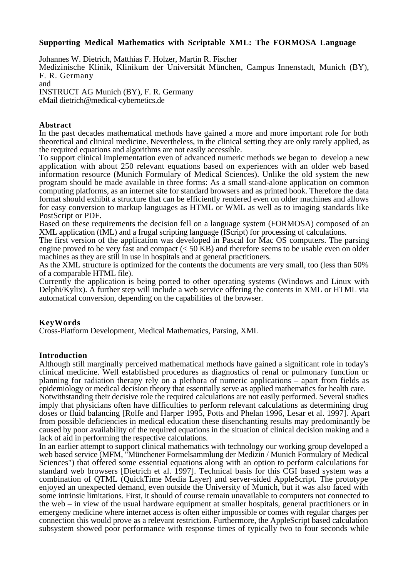# **Supporting Medical Mathematics with Scriptable XML: The FORMOSA Language**

Johannes W. Dietrich, Matthias F. Holzer, Martin R. Fischer Medizinische Klinik, Klinikum der Universität München, Campus Innenstadt, Munich (BY), F. R. Germany and INSTRUCT AG Munich (BY), F. R. Germany

eMail dietrich@medical-cybernetics.de

#### **Abstract**

In the past decades mathematical methods have gained a more and more important role for both theoretical and clinical medicine. Nevertheless, in the clinical setting they are only rarely applied, as the required equations and algorithms are not easily accessible.

To support clinical implementation even of advanced numeric methods we began to develop a new application with about 250 relevant equations based on experiences with an older web based information resource (Munich Formulary of Medical Sciences). Unlike the old system the new program should be made available in three forms: As a small stand-alone application on common computing platforms, as an internet site for standard browsers and as printed book. Therefore the data format should exhibit a structure that can be efficiently rendered even on older machines and allows for easy conversion to markup languages as HTML or WML as well as to imaging standards like PostScript or PDF.

Based on these requirements the decision fell on a language system (FORMOSA) composed of an XML application (fML) and a frugal scripting language (fScript) for processing of calculations.

The first version of the application was developed in Pascal for Mac OS computers. The parsing engine proved to be very fast and compact  $( $50 \text{ KB}$ )$  and therefore seems to be usable even on older machines as they are still in use in hospitals and at general practitioners.

As the XML structure is optimized for the contents the documents are very small, too (less than 50% of a comparable HTML file).

Currently the application is being ported to other operating systems (Windows and Linux with Delphi/Kylix). A further step will include a web service offering the contents in XML or HTML via automatical conversion, depending on the capabilities of the browser.

# **KeyWords**

Cross-Platform Development, Medical Mathematics, Parsing, XML

# **Introduction**

Although still marginally perceived mathematical methods have gained a significant role in today's clinical medicine. Well established procedures as diagnostics of renal or pulmonary function or planning for radiation therapy rely on a plethora of numeric applications – apart from fields as epidemiology or medical decision theory that essentially serve as applied mathematics for health care.

Notwithstanding their decisive role the required calculations are not easily performed. Several studies imply that physicians often have difficulties to perform relevant calculations as determining drug doses or fluid balancing [Rolfe and Harper 1995, Potts and Phelan 1996, Lesar et al. 1997]. Apart from possible deficiencies in medical education these disenchanting results may predominantly be caused by poor availability of the required equations in the situation of clinical decision making and a lack of aid in performing the respective calculations.

In an earlier attempt to support clinical mathematics with technology our working group developed a web based service (MFM, "Münchener Formelsammlung der Medizin / Munich Formulary of Medical Sciences") that offered some essential equations along with an option to perform calculations for standard web browsers [Dietrich et al. 1997]. Technical basis for this CGI based system was a combination of QTML (QuickTime Media Layer) and server-sided AppleScript. The prototype enjoyed an unexpected demand, even outside the University of Munich, but it was also faced with some intrinsic limitations. First, it should of course remain unavailable to computers not connected to the web – in view of the usual hardware equipment at smaller hospitals, general practitioners or in emergeny medicine where internet access is often either impossible or comes with regular charges per connection this would prove as a relevant restriction. Furthermore, the AppleScript based calculation subsystem showed poor performance with response times of typically two to four seconds while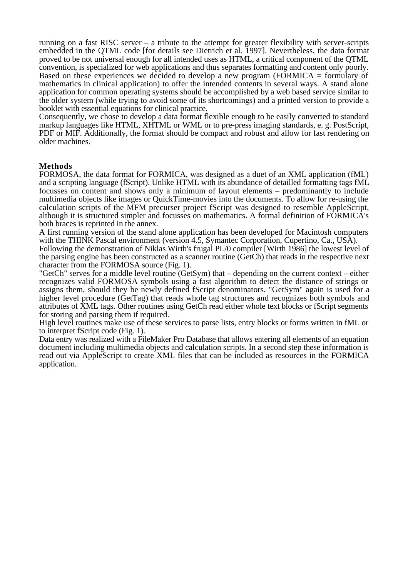running on a fast RISC server – a tribute to the attempt for greater flexibility with server-scripts embedded in the QTML code [for details see Dietrich et al. 1997]. Nevertheless, the data format proved to be not universal enough for all intended uses as HTML, a critical component of the QTML convention, is specialized for web applications and thus separates formatting and content only poorly. Based on these experiences we decided to develop a new program (FORMICA = formulary of mathematics in clinical application) to offer the intended contents in several ways. A stand alone application for common operating systems should be accomplished by a web based service similar to the older system (while trying to avoid some of its shortcomings) and a printed version to provide a booklet with essential equations for clinical practice.

Consequently, we chose to develop a data format flexible enough to be easily converted to standard markup languages like HTML, XHTML or WML or to pre-press imaging standards, e. g. PostScript, PDF or MIF. Additionally, the format should be compact and robust and allow for fast rendering on older machines.

# **Methods**

FORMOSA, the data format for FORMICA, was designed as a duet of an XML application (fML) and a scripting language (fScript). Unlike HTML with its abundance of detailled formatting tags fML focusses on content and shows only a minimum of layout elements – predominantly to include multimedia objects like images or QuickTime-movies into the documents. To allow for re-using the calculation scripts of the MFM precurser project fScript was designed to resemble AppleScript, although it is structured simpler and focusses on mathematics. A formal definition of FORMICA's both braces is reprinted in the annex.

A first running version of the stand alone application has been developed for Macintosh computers with the THINK Pascal environment (version 4.5, Symantec Corporation, Cupertino, Ca., USA).

Following the demonstration of Niklas Wirth's frugal PL/0 compiler [Wirth 1986] the lowest level of the parsing engine has been constructed as a scanner routine (GetCh) that reads in the respective next character from the FORMOSA source (Fig. 1).

"GetCh" serves for a middle level routine (GetSym) that – depending on the current context – either recognizes valid FORMOSA symbols using a fast algorithm to detect the distance of strings or assigns them, should they be newly defined fScript denominators. "GetSym" again is used for a higher level procedure (GetTag) that reads whole tag structures and recognizes both symbols and attributes of XML tags. Other routines using GetCh read either whole text blocks or fScript segments for storing and parsing them if required.

High level routines make use of these services to parse lists, entry blocks or forms written in fML or to interpret fScript code (Fig. 1).

Data entry was realized with a FileMaker Pro Database that allows entering all elements of an equation document including multimedia objects and calculation scripts. In a second step these information is read out via AppleScript to create XML files that can be included as resources in the FORMICA application.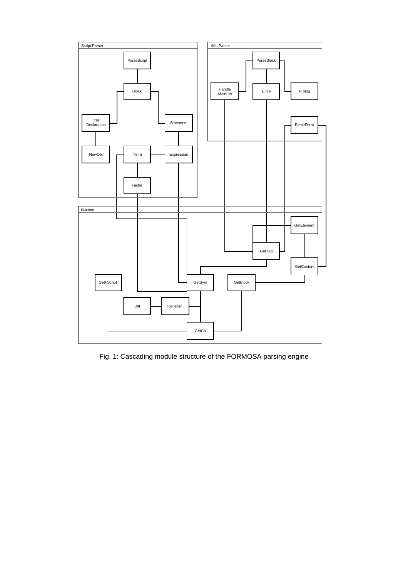

Fig. 1: Cascading module structure of the FORMOSA parsing engine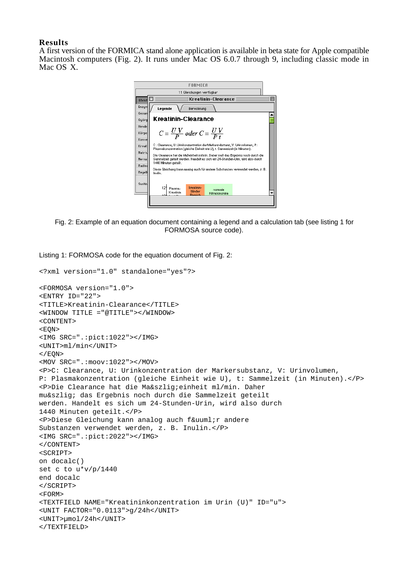#### **Results**

A first version of the FORMICA stand alone application is available in beta state for Apple compatible Macintosh computers (Fig. 2). It runs under Mac OS 6.0.7 through 9, including classic mode in Mac OS X.



Fig. 2: Example of an equation document containing a legend and a calculation tab (see listing 1 for FORMOSA source code).

Listing 1: FORMOSA code for the equation document of Fig. 2:

```
<?xml version="1.0" standalone="yes"?>
<FORMOSA version="1.0">
<ENTRY ID="22">
<TITLE>Kreatinin-Clearance</TITLE>
<WINDOW TITLE ="@TITLE"></WINDOW>
<CONTENT>
<EQN>
<IMG SRC=".:pict:1022"></IMG>
<UNIT>ml/min</UNIT>
</EON>
<MOV SRC=".:moov:1022"></MOV>
<P>C: Clearance, U: Urinkonzentration der Markersubstanz, V: Urinvolumen,
P: Plasmakonzentration (gleiche Einheit wie U), t: Sammelzeit (in Minuten).</P>
<P>Die Clearance hat die Ma&szlig;einheit ml/min. Daher
muß das Ergebnis noch durch die Sammelzeit geteilt
werden. Handelt es sich um 24-Stunden-Urin, wird also durch
1440 Minuten geteilt.</P>
<P>Diese Gleichung kann analog auch f&uuml;r andere
Substanzen verwendet werden, z. B. Inulin.</P>
<IMG SRC=".:pict:2022"></IMG>
</CONTENT>
<SCRIPT>
on docalc()
set c to u*v/p/1440
end docalc
</SCRIPT>
<FORM>
<TEXTFIELD NAME="Kreatininkonzentration im Urin (U)" ID="u">
<UNIT FACTOR="0.0113">g/24h</UNIT>
<UNIT>µmol/24h</UNIT>
</TEXTFIELD>
```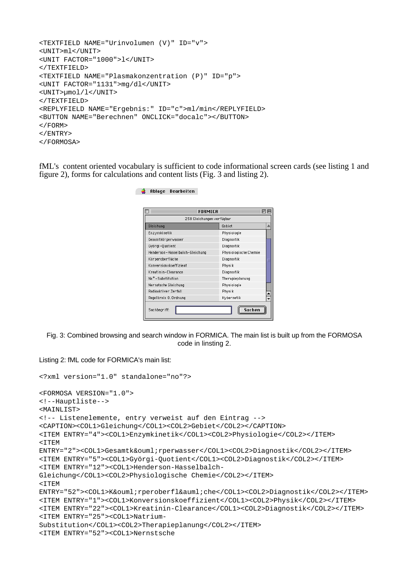```
<TEXTFIELD NAME="Urinvolumen (V)" ID="v">
<UNIT>ml</UNIT>
<UNIT FACTOR="1000">l</UNIT>
</TEXTFIELD>
<TEXTFIELD NAME="Plasmakonzentration (P)" ID="p">
<UNIT FACTOR="1131">mg/dl</UNIT>
<UNIT>µmol/l</UNIT>
</TEXTFIELD>
<REPLYFIELD NAME="Ergebnis:" ID="c">ml/min</REPLYFIELD>
<BUTTON NAME="Berechnen" ONCLICK="docalc"></BUTTON>
</FORM>
</ENTRY>
</FORMOSA>
```
**C** Ablage Bearbeiten

fML's content oriented vocabulary is sufficient to code informational screen cards (see listing 1 and figure 2), forms for calculations and content lists (Fig. 3 and listing 2).

| 258 Gleichungen verfügbar       |                       |
|---------------------------------|-----------------------|
| Gleichung                       | Gebiet                |
| Enzymkinetik                    | Physiologie           |
| Gesamtkörperwasser              | Diagnostik            |
| Györgi-Quotient                 | Diagnostik            |
| Henderson-Hasselbalch-Gleichung | Physiologische Chemie |
| Körperoberfläche                | Diagnostik            |
| Konversionskoeffizient          | Physik                |
| Kreatinin-Clearance             | Diagnostik            |
| Na <sup>+</sup> -Substitution   | Therapieplanung       |
| Nernstsche Gleichung            | Physiologie           |
| Radioaktiver Zerfall            | Physik                |
| Regelkreis O. Ordnung           | Kybernetik            |

Fig. 3: Combined browsing and search window in FORMICA. The main list is built up from the FORMOSA code in linsting 2.

```
Listing 2: fML code for FORMICA's main list:
```

```
<?xml version="1.0" standalone="no"?>
<FORMOSA VERSION="1.0">
<!--Hauptliste-->
<MAINLIST>
<!-- Listenelemente, entry verweist auf den Eintrag -->
<CAPTION><COL1>Gleichung</COL1><COL2>Gebiet</COL2></CAPTION>
<ITEM ENTRY="4"><COL1>Enzymkinetik</COL1><COL2>Physiologie</COL2></ITEM>
<TTEM
ENTRY="2"><COL1>Gesamtk&ouml;rperwasser</COL1><COL2>Diagnostik</COL2></ITEM>
<ITEM ENTRY="5"><COL1>Györgi-Quotient</COL1><COL2>Diagnostik</COL2></ITEM>
<ITEM ENTRY="12"><COL1>Henderson-Hasselbalch-
Gleichung</COL1><COL2>Physiologische Chemie</COL2></ITEM>
<sub>T</sub> T F.M</sub>
ENTRY="52"><COL1>K&ouml;rperoberfl&auml;che</COL1><COL2>Diagnostik</COL2></ITEM>
<ITEM ENTRY="1"><COL1>Konversionskoeffizient</COL1><COL2>Physik</COL2></ITEM>
<ITEM ENTRY="22"><COL1>Kreatinin-Clearance</COL1><COL2>Diagnostik</COL2></ITEM>
<ITEM ENTRY="25"><COL1>Natrium-
Substitution</COL1><COL2>Therapieplanung</COL2></ITEM>
<ITEM ENTRY="52"><COL1>Nernstsche
```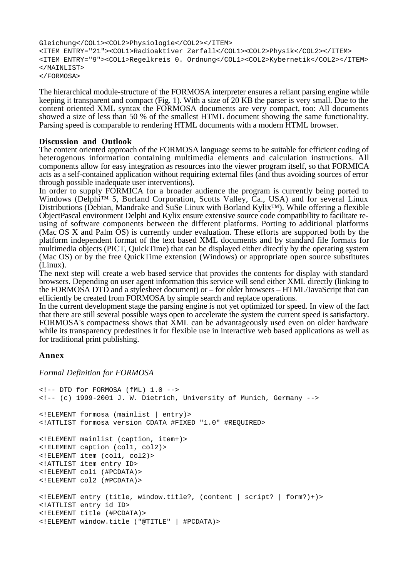```
Gleichung</COL1><COL2>Physiologie</COL2></ITEM>
<ITEM ENTRY="21"><COL1>Radioaktiver Zerfall</COL1><COL2>Physik</COL2></ITEM>
<ITEM ENTRY="9"><COL1>Regelkreis 0. Ordnung</COL1><COL2>Kybernetik</COL2></ITEM>
</MAINLIST>
</FORMOSA>
```
The hierarchical module-structure of the FORMOSA interpreter ensures a reliant parsing engine while keeping it transparent and compact (Fig. 1). With a size of 20 KB the parser is very small. Due to the content oriented XML syntax the FORMOSA documents are very compact, too: All documents showed a size of less than 50 % of the smallest HTML document showing the same functionality. Parsing speed is comparable to rendering HTML documents with a modern HTML browser.

#### **Discussion and Outlook**

The content oriented approach of the FORMOSA language seems to be suitable for efficient coding of heterogenous information containing multimedia elements and calculation instructions. All components allow for easy integration as resources into the viewer program itself, so that FORMICA acts as a self-contained application without requiring external files (and thus avoiding sources of error through possible inadequate user interventions).

In order to supply FORMICA for a broader audience the program is currently being ported to Windows (Delphi™ 5, Borland Corporation, Scotts Valley, Ca., USA) and for several Linux Distributions (Debian, Mandrake and SuSe Linux with Borland Kylix™). While offering a flexible ObjectPascal environment Delphi and Kylix ensure extensive source code compatibility to facilitate reusing of software components between the different platforms. Porting to additional platforms (Mac OS X and Palm OS) is currently under evaluation. These efforts are supported both by the platform independent format of the text based XML documents and by standard file formats for multimedia objects (PICT, QuickTime) that can be displayed either directly by the operating system (Mac OS) or by the free QuickTime extension (Windows) or appropriate open source substitutes (Linux).

The next step will create a web based service that provides the contents for display with standard browsers. Depending on user agent information this service will send either XML directly (linking to the FORMOSA DTD and a stylesheet document) or – for older browsers – HTML/JavaScript that can efficiently be created from FORMOSA by simple search and replace operations.

In the current development stage the parsing engine is not yet optimized for speed. In view of the fact that there are still several possible ways open to accelerate the system the current speed is satisfactory. FORMOSA's compactness shows that XML can be advantageously used even on older hardware while its transparency predestines it for flexible use in interactive web based applications as well as for traditional print publishing.

# **Annex**

*Formal Definition for FORMOSA*

```
<!-- DTD for FORMOSA (fML) 1.0 -->
<!-- (c) 1999-2001 J. W. Dietrich, University of Munich, Germany -->
<!ELEMENT formosa (mainlist | entry)>
<!ATTLIST formosa version CDATA #FIXED "1.0" #REQUIRED>
<!ELEMENT mainlist (caption, item+)>
<!ELEMENT caption (col1, col2)>
<!ELEMENT item (col1, col2)>
<!ATTLIST item entry ID>
<!ELEMENT col1 (#PCDATA)>
<!ELEMENT col2 (#PCDATA)>
<!ELEMENT entry (title, window.title?, (content | script? | form?)+)>
<!ATTLIST entry id ID>
<!ELEMENT title (#PCDATA)>
<!ELEMENT window.title ("@TITLE" | #PCDATA)>
```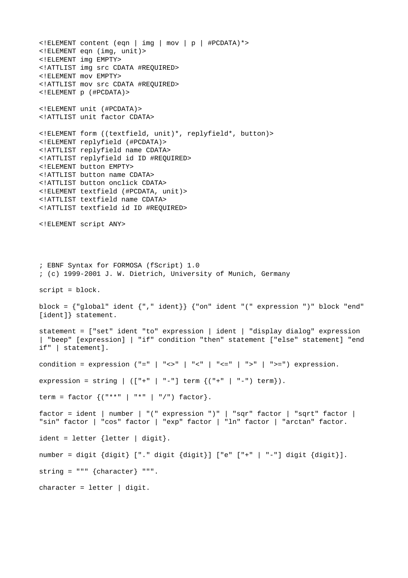<!ELEMENT content (eqn | img | mov | p | #PCDATA)\*> <!ELEMENT eqn (img, unit)> <!ELEMENT img EMPTY> <!ATTLIST img src CDATA #REQUIRED> <!ELEMENT mov EMPTY> <!ATTLIST mov src CDATA #REQUIRED> <!ELEMENT p (#PCDATA)> <!ELEMENT unit (#PCDATA)> <!ATTLIST unit factor CDATA> <!ELEMENT form ((textfield, unit)\*, replyfield\*, button)> <!ELEMENT replyfield (#PCDATA)> <!ATTLIST replyfield name CDATA> <!ATTLIST replyfield id ID #REQUIRED> <!ELEMENT button EMPTY> <!ATTLIST button name CDATA> <!ATTLIST button onclick CDATA> <!ELEMENT textfield (#PCDATA, unit)> <!ATTLIST textfield name CDATA> <!ATTLIST textfield id ID #REQUIRED> <!ELEMENT script ANY> ; EBNF Syntax for FORMOSA (fScript) 1.0 ; (c) 1999-2001 J. W. Dietrich, University of Munich, Germany script = block. block = {"global" ident {"," ident}} {"on" ident "(" expression ")" block "end" [ident]} statement. statement = ["set" ident "to" expression | ident | "display dialog" expression | "beep" [expression] | "if" condition "then" statement ["else" statement] "end if" | statement]. condition = expression ("=" | "<>" | "<" | "<=" | ">" | ">=") expression. expression = string |  $([ " + " | " - " ] term { (" + " | " - " ) term } ).$ term = factor  $\{($  "\*"  $|$  "\*"  $|$  "/") factor}. factor = ident | number | "(" expression ")" | "sqr" factor | "sqrt" factor | "sin" factor | "cos" factor | "exp" factor | "ln" factor | "arctan" factor. ident = letter {letter | digit}. number = digit {digit} ["." digit {digit}] ["e" ["+" | "-"] digit {digit}]. string = """ {character} """.  $character = letter | digit.$